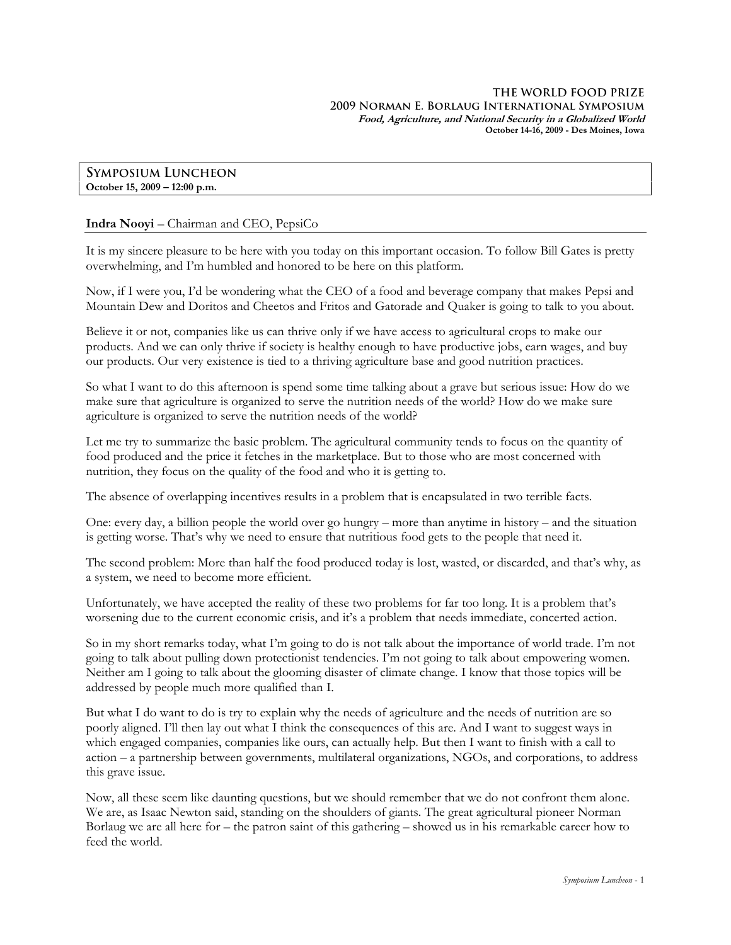**SYMPOSIUM LUNCHEON October 15, 2009 – 12:00 p.m.** 

## **Indra Nooyi** – Chairman and CEO, PepsiCo

It is my sincere pleasure to be here with you today on this important occasion. To follow Bill Gates is pretty overwhelming, and I'm humbled and honored to be here on this platform.

Now, if I were you, I'd be wondering what the CEO of a food and beverage company that makes Pepsi and Mountain Dew and Doritos and Cheetos and Fritos and Gatorade and Quaker is going to talk to you about.

Believe it or not, companies like us can thrive only if we have access to agricultural crops to make our products. And we can only thrive if society is healthy enough to have productive jobs, earn wages, and buy our products. Our very existence is tied to a thriving agriculture base and good nutrition practices.

So what I want to do this afternoon is spend some time talking about a grave but serious issue: How do we make sure that agriculture is organized to serve the nutrition needs of the world? How do we make sure agriculture is organized to serve the nutrition needs of the world?

Let me try to summarize the basic problem. The agricultural community tends to focus on the quantity of food produced and the price it fetches in the marketplace. But to those who are most concerned with nutrition, they focus on the quality of the food and who it is getting to.

The absence of overlapping incentives results in a problem that is encapsulated in two terrible facts.

One: every day, a billion people the world over go hungry – more than anytime in history – and the situation is getting worse. That's why we need to ensure that nutritious food gets to the people that need it.

The second problem: More than half the food produced today is lost, wasted, or discarded, and that's why, as a system, we need to become more efficient.

Unfortunately, we have accepted the reality of these two problems for far too long. It is a problem that's worsening due to the current economic crisis, and it's a problem that needs immediate, concerted action.

So in my short remarks today, what I'm going to do is not talk about the importance of world trade. I'm not going to talk about pulling down protectionist tendencies. I'm not going to talk about empowering women. Neither am I going to talk about the glooming disaster of climate change. I know that those topics will be addressed by people much more qualified than I.

But what I do want to do is try to explain why the needs of agriculture and the needs of nutrition are so poorly aligned. I'll then lay out what I think the consequences of this are. And I want to suggest ways in which engaged companies, companies like ours, can actually help. But then I want to finish with a call to action – a partnership between governments, multilateral organizations, NGOs, and corporations, to address this grave issue.

Now, all these seem like daunting questions, but we should remember that we do not confront them alone. We are, as Isaac Newton said, standing on the shoulders of giants. The great agricultural pioneer Norman Borlaug we are all here for – the patron saint of this gathering – showed us in his remarkable career how to feed the world.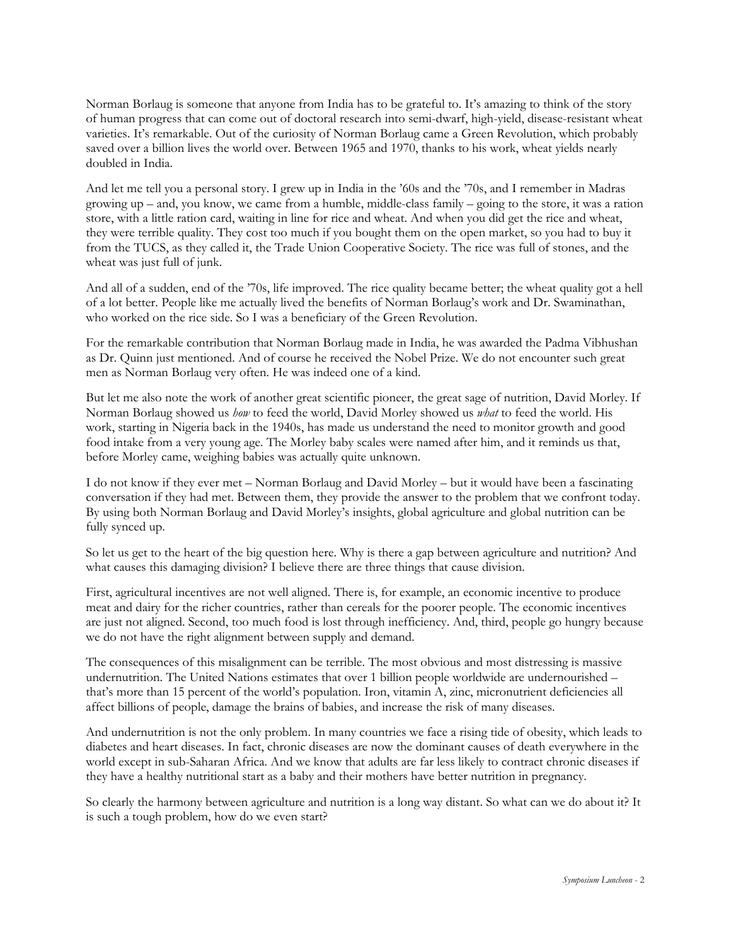Norman Borlaug is someone that anyone from India has to be grateful to. It's amazing to think of the story of human progress that can come out of doctoral research into semi-dwarf, high-yield, disease-resistant wheat varieties. It's remarkable. Out of the curiosity of Norman Borlaug came a Green Revolution, which probably saved over a billion lives the world over. Between 1965 and 1970, thanks to his work, wheat yields nearly doubled in India.

And let me tell you a personal story. I grew up in India in the '60s and the '70s, and I remember in Madras growing up – and, you know, we came from a humble, middle-class family – going to the store, it was a ration store, with a little ration card, waiting in line for rice and wheat. And when you did get the rice and wheat, they were terrible quality. They cost too much if you bought them on the open market, so you had to buy it from the TUCS, as they called it, the Trade Union Cooperative Society. The rice was full of stones, and the wheat was just full of junk.

And all of a sudden, end of the '70s, life improved. The rice quality became better; the wheat quality got a hell of a lot better. People like me actually lived the benefits of Norman Borlaug's work and Dr. Swaminathan, who worked on the rice side. So I was a beneficiary of the Green Revolution.

For the remarkable contribution that Norman Borlaug made in India, he was awarded the Padma Vibhushan as Dr. Quinn just mentioned. And of course he received the Nobel Prize. We do not encounter such great men as Norman Borlaug very often. He was indeed one of a kind.

But let me also note the work of another great scientific pioneer, the great sage of nutrition, David Morley. If Norman Borlaug showed us *how* to feed the world, David Morley showed us *what* to feed the world. His work, starting in Nigeria back in the 1940s, has made us understand the need to monitor growth and good food intake from a very young age. The Morley baby scales were named after him, and it reminds us that, before Morley came, weighing babies was actually quite unknown.

I do not know if they ever met – Norman Borlaug and David Morley – but it would have been a fascinating conversation if they had met. Between them, they provide the answer to the problem that we confront today. By using both Norman Borlaug and David Morley's insights, global agriculture and global nutrition can be fully synced up.

So let us get to the heart of the big question here. Why is there a gap between agriculture and nutrition? And what causes this damaging division? I believe there are three things that cause division.

First, agricultural incentives are not well aligned. There is, for example, an economic incentive to produce meat and dairy for the richer countries, rather than cereals for the poorer people. The economic incentives are just not aligned. Second, too much food is lost through inefficiency. And, third, people go hungry because we do not have the right alignment between supply and demand.

The consequences of this misalignment can be terrible. The most obvious and most distressing is massive undernutrition. The United Nations estimates that over 1 billion people worldwide are undernourished – that's more than 15 percent of the world's population. Iron, vitamin A, zinc, micronutrient deficiencies all affect billions of people, damage the brains of babies, and increase the risk of many diseases.

And undernutrition is not the only problem. In many countries we face a rising tide of obesity, which leads to diabetes and heart diseases. In fact, chronic diseases are now the dominant causes of death everywhere in the world except in sub-Saharan Africa. And we know that adults are far less likely to contract chronic diseases if they have a healthy nutritional start as a baby and their mothers have better nutrition in pregnancy.

So clearly the harmony between agriculture and nutrition is a long way distant. So what can we do about it? It is such a tough problem, how do we even start?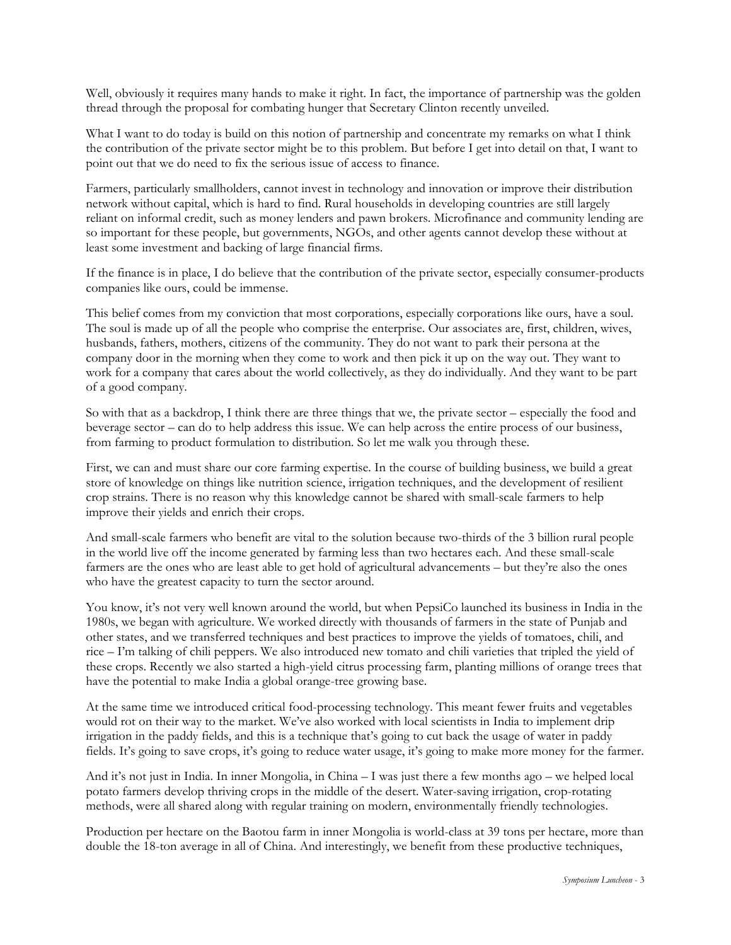Well, obviously it requires many hands to make it right. In fact, the importance of partnership was the golden thread through the proposal for combating hunger that Secretary Clinton recently unveiled.

What I want to do today is build on this notion of partnership and concentrate my remarks on what I think the contribution of the private sector might be to this problem. But before I get into detail on that, I want to point out that we do need to fix the serious issue of access to finance.

Farmers, particularly smallholders, cannot invest in technology and innovation or improve their distribution network without capital, which is hard to find. Rural households in developing countries are still largely reliant on informal credit, such as money lenders and pawn brokers. Microfinance and community lending are so important for these people, but governments, NGOs, and other agents cannot develop these without at least some investment and backing of large financial firms.

If the finance is in place, I do believe that the contribution of the private sector, especially consumer-products companies like ours, could be immense.

This belief comes from my conviction that most corporations, especially corporations like ours, have a soul. The soul is made up of all the people who comprise the enterprise. Our associates are, first, children, wives, husbands, fathers, mothers, citizens of the community. They do not want to park their persona at the company door in the morning when they come to work and then pick it up on the way out. They want to work for a company that cares about the world collectively, as they do individually. And they want to be part of a good company.

So with that as a backdrop, I think there are three things that we, the private sector – especially the food and beverage sector – can do to help address this issue. We can help across the entire process of our business, from farming to product formulation to distribution. So let me walk you through these.

First, we can and must share our core farming expertise. In the course of building business, we build a great store of knowledge on things like nutrition science, irrigation techniques, and the development of resilient crop strains. There is no reason why this knowledge cannot be shared with small-scale farmers to help improve their yields and enrich their crops.

And small-scale farmers who benefit are vital to the solution because two-thirds of the 3 billion rural people in the world live off the income generated by farming less than two hectares each. And these small-scale farmers are the ones who are least able to get hold of agricultural advancements – but they're also the ones who have the greatest capacity to turn the sector around.

You know, it's not very well known around the world, but when PepsiCo launched its business in India in the 1980s, we began with agriculture. We worked directly with thousands of farmers in the state of Punjab and other states, and we transferred techniques and best practices to improve the yields of tomatoes, chili, and rice – I'm talking of chili peppers. We also introduced new tomato and chili varieties that tripled the yield of these crops. Recently we also started a high-yield citrus processing farm, planting millions of orange trees that have the potential to make India a global orange-tree growing base.

At the same time we introduced critical food-processing technology. This meant fewer fruits and vegetables would rot on their way to the market. We've also worked with local scientists in India to implement drip irrigation in the paddy fields, and this is a technique that's going to cut back the usage of water in paddy fields. It's going to save crops, it's going to reduce water usage, it's going to make more money for the farmer.

And it's not just in India. In inner Mongolia, in China – I was just there a few months ago – we helped local potato farmers develop thriving crops in the middle of the desert. Water-saving irrigation, crop-rotating methods, were all shared along with regular training on modern, environmentally friendly technologies.

Production per hectare on the Baotou farm in inner Mongolia is world-class at 39 tons per hectare, more than double the 18-ton average in all of China. And interestingly, we benefit from these productive techniques,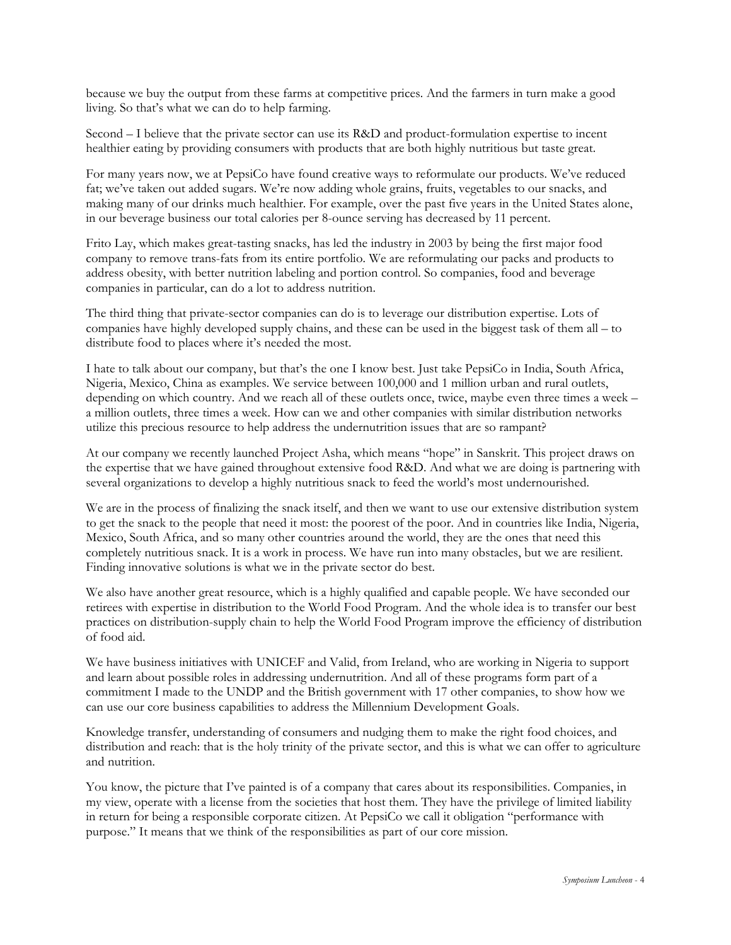because we buy the output from these farms at competitive prices. And the farmers in turn make a good living. So that's what we can do to help farming.

Second – I believe that the private sector can use its R&D and product-formulation expertise to incent healthier eating by providing consumers with products that are both highly nutritious but taste great.

For many years now, we at PepsiCo have found creative ways to reformulate our products. We've reduced fat; we've taken out added sugars. We're now adding whole grains, fruits, vegetables to our snacks, and making many of our drinks much healthier. For example, over the past five years in the United States alone, in our beverage business our total calories per 8-ounce serving has decreased by 11 percent.

Frito Lay, which makes great-tasting snacks, has led the industry in 2003 by being the first major food company to remove trans-fats from its entire portfolio. We are reformulating our packs and products to address obesity, with better nutrition labeling and portion control. So companies, food and beverage companies in particular, can do a lot to address nutrition.

The third thing that private-sector companies can do is to leverage our distribution expertise. Lots of companies have highly developed supply chains, and these can be used in the biggest task of them all – to distribute food to places where it's needed the most.

I hate to talk about our company, but that's the one I know best. Just take PepsiCo in India, South Africa, Nigeria, Mexico, China as examples. We service between 100,000 and 1 million urban and rural outlets, depending on which country. And we reach all of these outlets once, twice, maybe even three times a week – a million outlets, three times a week. How can we and other companies with similar distribution networks utilize this precious resource to help address the undernutrition issues that are so rampant?

At our company we recently launched Project Asha, which means "hope" in Sanskrit. This project draws on the expertise that we have gained throughout extensive food R&D. And what we are doing is partnering with several organizations to develop a highly nutritious snack to feed the world's most undernourished.

We are in the process of finalizing the snack itself, and then we want to use our extensive distribution system to get the snack to the people that need it most: the poorest of the poor. And in countries like India, Nigeria, Mexico, South Africa, and so many other countries around the world, they are the ones that need this completely nutritious snack. It is a work in process. We have run into many obstacles, but we are resilient. Finding innovative solutions is what we in the private sector do best.

We also have another great resource, which is a highly qualified and capable people. We have seconded our retirees with expertise in distribution to the World Food Program. And the whole idea is to transfer our best practices on distribution-supply chain to help the World Food Program improve the efficiency of distribution of food aid.

We have business initiatives with UNICEF and Valid, from Ireland, who are working in Nigeria to support and learn about possible roles in addressing undernutrition. And all of these programs form part of a commitment I made to the UNDP and the British government with 17 other companies, to show how we can use our core business capabilities to address the Millennium Development Goals.

Knowledge transfer, understanding of consumers and nudging them to make the right food choices, and distribution and reach: that is the holy trinity of the private sector, and this is what we can offer to agriculture and nutrition.

You know, the picture that I've painted is of a company that cares about its responsibilities. Companies, in my view, operate with a license from the societies that host them. They have the privilege of limited liability in return for being a responsible corporate citizen. At PepsiCo we call it obligation "performance with purpose." It means that we think of the responsibilities as part of our core mission.